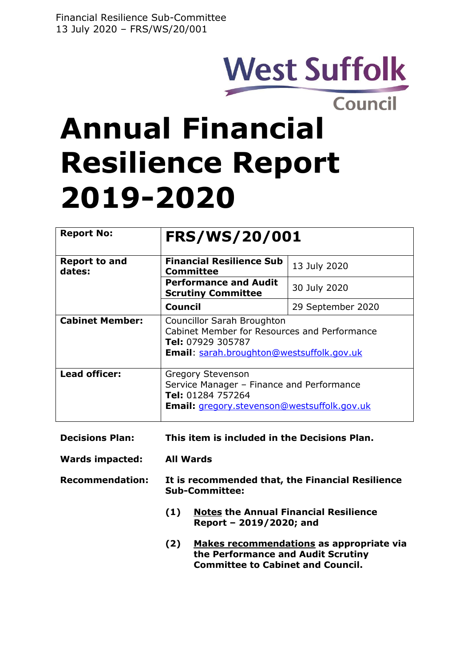# **West Suffolk**

## **Council Annual Financial Resilience Report 2019-2020**

| <b>Report No:</b>              | <b>FRS/WS/20/001</b>                                                                                                                         |                   |  |  |  |  |
|--------------------------------|----------------------------------------------------------------------------------------------------------------------------------------------|-------------------|--|--|--|--|
| <b>Report to and</b><br>dates: | <b>Financial Resilience Sub</b><br>13 July 2020<br><b>Committee</b>                                                                          |                   |  |  |  |  |
|                                | <b>Performance and Audit</b><br><b>Scrutiny Committee</b>                                                                                    | 30 July 2020      |  |  |  |  |
|                                | Council                                                                                                                                      | 29 September 2020 |  |  |  |  |
| <b>Cabinet Member:</b>         | Councillor Sarah Broughton<br>Cabinet Member for Resources and Performance<br>Tel: 07929 305787<br>Email: sarah.broughton@westsuffolk.gov.uk |                   |  |  |  |  |
| <b>Lead officer:</b>           | <b>Gregory Stevenson</b><br>Service Manager - Finance and Performance<br>Tel: 01284 757264<br>Email: gregory.stevenson@westsuffolk.gov.uk    |                   |  |  |  |  |
| <b>Decisions Plan:</b>         | This item is included in the Decisions Plan.                                                                                                 |                   |  |  |  |  |
| <b>Wards impacted:</b>         | <b>All Wards</b>                                                                                                                             |                   |  |  |  |  |
| <b>Recommendation:</b>         | It is recommended that, the Financial Resilience<br><b>Sub-Committee:</b>                                                                    |                   |  |  |  |  |
|                                | (1)<br><b>Notes the Annual Financial Resilience</b><br>Report - 2019/2020; and                                                               |                   |  |  |  |  |

**(2) Makes recommendations as appropriate via the Performance and Audit Scrutiny Committee to Cabinet and Council.**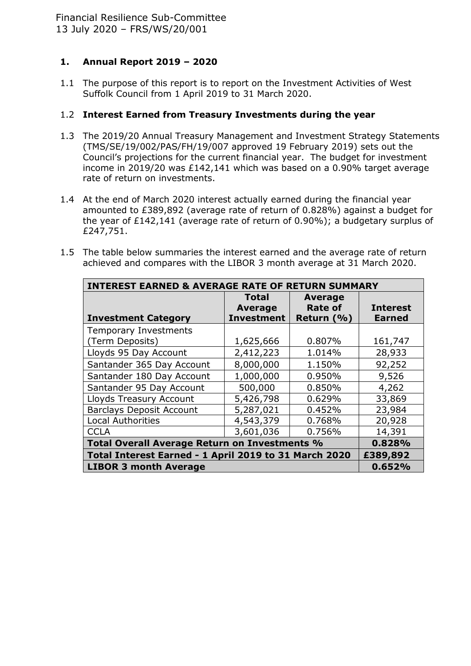## **1. Annual Report 2019 – 2020**

1.1 The purpose of this report is to report on the Investment Activities of West Suffolk Council from 1 April 2019 to 31 March 2020.

### 1.2 **Interest Earned from Treasury Investments during the year**

- 1.3 The 2019/20 Annual Treasury Management and Investment Strategy Statements (TMS/SE/19/002/PAS/FH/19/007 approved 19 February 2019) sets out the Council's projections for the current financial year. The budget for investment income in 2019/20 was £142,141 which was based on a 0.90% target average rate of return on investments.
- 1.4 At the end of March 2020 interest actually earned during the financial year amounted to £389,892 (average rate of return of 0.828%) against a budget for the year of £142,141 (average rate of return of 0.90%); a budgetary surplus of £247,751.
- 1.5 The table below summaries the interest earned and the average rate of return achieved and compares with the LIBOR 3 month average at 31 March 2020.

| <b>INTEREST EARNED &amp; AVERAGE RATE OF RETURN SUMMARY</b> |                   |                |                 |  |  |
|-------------------------------------------------------------|-------------------|----------------|-----------------|--|--|
|                                                             | <b>Total</b>      | <b>Average</b> |                 |  |  |
|                                                             | <b>Average</b>    | <b>Rate of</b> | <b>Interest</b> |  |  |
| <b>Investment Category</b>                                  | <b>Investment</b> | Return (%)     | <b>Earned</b>   |  |  |
| <b>Temporary Investments</b>                                |                   |                |                 |  |  |
| (Term Deposits)                                             | 1,625,666         | 0.807%         | 161,747         |  |  |
| Lloyds 95 Day Account                                       | 2,412,223         | 1.014%         | 28,933          |  |  |
| Santander 365 Day Account                                   | 8,000,000         | 1.150%         | 92,252          |  |  |
| Santander 180 Day Account                                   | 1,000,000         | 0.950%         | 9,526           |  |  |
| Santander 95 Day Account                                    | 500,000           | 0.850%         | 4,262           |  |  |
| Lloyds Treasury Account                                     | 5,426,798         | 0.629%         | 33,869          |  |  |
| <b>Barclays Deposit Account</b>                             | 5,287,021         | 0.452%         | 23,984          |  |  |
| <b>Local Authorities</b>                                    | 4,543,379         | 0.768%         | 20,928          |  |  |
| <b>CCLA</b>                                                 | 3,601,036         | 0.756%         | 14,391          |  |  |
| Total Overall Average Return on Investments %               | 0.828%            |                |                 |  |  |
| Total Interest Earned - 1 April 2019 to 31 March 2020       | £389,892          |                |                 |  |  |
| <b>LIBOR 3 month Average</b>                                |                   |                | 0.652%          |  |  |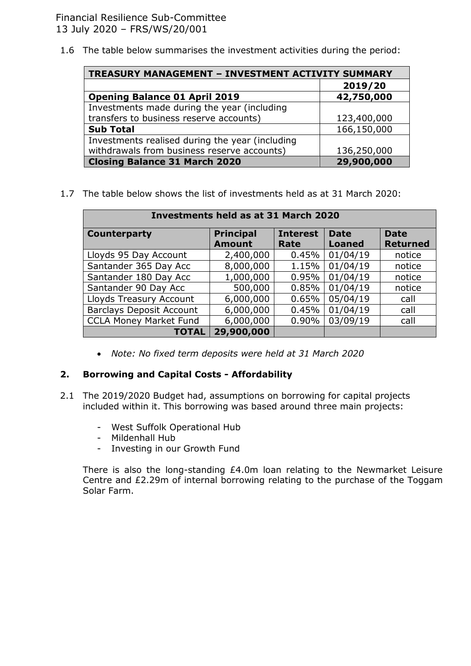1.6 The table below summarises the investment activities during the period:

| <b>TREASURY MANAGEMENT - INVESTMENT ACTIVITY SUMMARY</b> |             |  |  |  |  |
|----------------------------------------------------------|-------------|--|--|--|--|
|                                                          | 2019/20     |  |  |  |  |
| <b>Opening Balance 01 April 2019</b>                     | 42,750,000  |  |  |  |  |
| Investments made during the year (including              |             |  |  |  |  |
| transfers to business reserve accounts)                  | 123,400,000 |  |  |  |  |
| <b>Sub Total</b>                                         | 166,150,000 |  |  |  |  |
| Investments realised during the year (including          |             |  |  |  |  |
| withdrawals from business reserve accounts)              | 136,250,000 |  |  |  |  |
| <b>Closing Balance 31 March 2020</b>                     | 29,900,000  |  |  |  |  |

1.7 The table below shows the list of investments held as at 31 March 2020:

| <b>Investments held as at 31 March 2020</b> |                  |                 |               |                 |  |  |  |  |
|---------------------------------------------|------------------|-----------------|---------------|-----------------|--|--|--|--|
| <b>Counterparty</b>                         | <b>Principal</b> | <b>Interest</b> | <b>Date</b>   | <b>Date</b>     |  |  |  |  |
|                                             | <b>Amount</b>    | Rate            | <b>Loaned</b> | <b>Returned</b> |  |  |  |  |
| Lloyds 95 Day Account                       | 2,400,000        | 0.45%           | 01/04/19      | notice          |  |  |  |  |
| Santander 365 Day Acc                       | 8,000,000        | 1.15%           | 01/04/19      | notice          |  |  |  |  |
| Santander 180 Day Acc                       | 1,000,000        | 0.95%           | 01/04/19      | notice          |  |  |  |  |
| Santander 90 Day Acc                        | 500,000          | 0.85%           | 01/04/19      | notice          |  |  |  |  |
| Lloyds Treasury Account                     | 6,000,000        | 0.65%           | 05/04/19      | call            |  |  |  |  |
| <b>Barclays Deposit Account</b>             | 6,000,000        | 0.45%           | 01/04/19      | call            |  |  |  |  |
| <b>CCLA Money Market Fund</b>               | 6,000,000        | 0.90%           | 03/09/19      | call            |  |  |  |  |
| <b>TOTAL</b>                                | 29,900,000       |                 |               |                 |  |  |  |  |

*Note: No fixed term deposits were held at 31 March 2020*

#### **2. Borrowing and Capital Costs - Affordability**

- 2.1 The 2019/2020 Budget had, assumptions on borrowing for capital projects included within it. This borrowing was based around three main projects:
	- West Suffolk Operational Hub
	- Mildenhall Hub
	- Investing in our Growth Fund

There is also the long-standing £4.0m loan relating to the Newmarket Leisure Centre and £2.29m of internal borrowing relating to the purchase of the Toggam Solar Farm.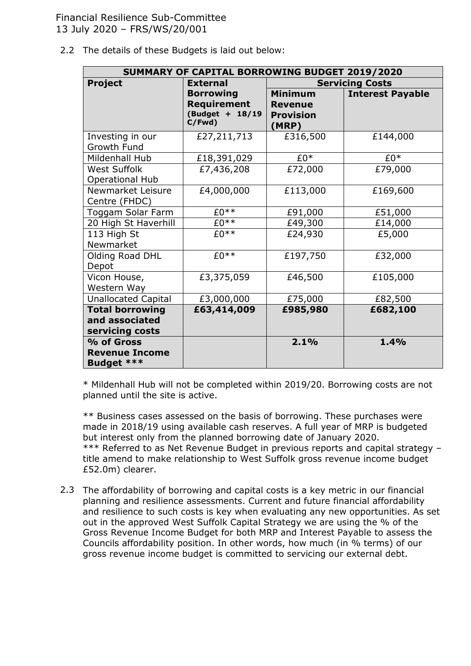2.2 The details of these Budgets is laid out below:

| SUMMARY OF CAPITAL BORROWING BUDGET 2019/2020               |                                                                     |                                                               |                         |  |  |
|-------------------------------------------------------------|---------------------------------------------------------------------|---------------------------------------------------------------|-------------------------|--|--|
| <b>Project</b>                                              | <b>External</b>                                                     | <b>Servicing Costs</b>                                        |                         |  |  |
|                                                             | <b>Borrowing</b><br><b>Requirement</b><br>(Budget + 18/19<br>C/Fwd) | <b>Minimum</b><br><b>Revenue</b><br><b>Provision</b><br>(MRP) | <b>Interest Payable</b> |  |  |
| Investing in our<br>Growth Fund                             | £27,211,713                                                         | £316,500                                                      | £144,000                |  |  |
| Mildenhall Hub                                              | £18,391,029                                                         | $£0*$                                                         | £0*                     |  |  |
| <b>West Suffolk</b><br><b>Operational Hub</b>               | £7,436,208                                                          | £72,000                                                       | £79,000                 |  |  |
| Newmarket Leisure<br>Centre (FHDC)                          | £4,000,000                                                          | £113,000                                                      | £169,600                |  |  |
| Toggam Solar Farm                                           | $E0**$                                                              | £91,000                                                       | £51,000                 |  |  |
| 20 High St Haverhill                                        | $£0**$                                                              | £49,300                                                       | £14,000                 |  |  |
| 113 High St<br>Newmarket                                    | $£0**$                                                              | £24,930                                                       | £5,000                  |  |  |
| Olding Road DHL<br>Depot                                    | $£0**$                                                              | £197,750                                                      | £32,000                 |  |  |
| Vicon House,<br>Western Way                                 | £3,375,059                                                          | £46,500                                                       | £105,000                |  |  |
| <b>Unallocated Capital</b>                                  | £3,000,000                                                          | £75,000                                                       | £82,500                 |  |  |
| <b>Total borrowing</b><br>and associated<br>servicing costs | £63,414,009                                                         | £985,980                                                      | £682,100                |  |  |
| % of Gross<br><b>Revenue Income</b><br><b>Budget ***</b>    |                                                                     | 2.1%                                                          | 1.4%                    |  |  |

\* Mildenhall Hub will not be completed within 2019/20. Borrowing costs are not planned until the site is active.

\*\* Business cases assessed on the basis of borrowing. These purchases were made in 2018/19 using available cash reserves. A full year of MRP is budgeted but interest only from the planned borrowing date of January 2020. \*\*\* Referred to as Net Revenue Budget in previous reports and capital strategy title amend to make relationship to West Suffolk gross revenue income budget £52.0m) clearer.

2.3 The affordability of borrowing and capital costs is a key metric in our financial planning and resilience assessments. Current and future financial affordability and resilience to such costs is key when evaluating any new opportunities. As set out in the approved West Suffolk Capital Strategy we are using the % of the Gross Revenue Income Budget for both MRP and Interest Payable to assess the Councils affordability position. In other words, how much (in % terms) of our gross revenue income budget is committed to servicing our external debt.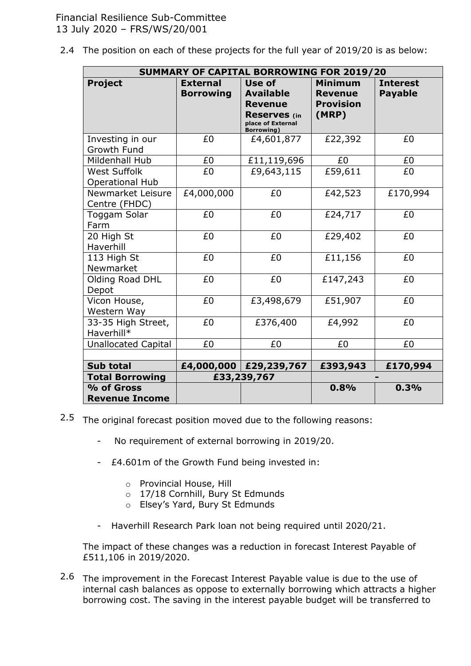2.4 The position on each of these projects for the full year of 2019/20 is as below:

| <b>SUMMARY OF CAPITAL BORROWING FOR 2019/20</b> |                                     |                                                                                                                |                                                               |                                   |  |
|-------------------------------------------------|-------------------------------------|----------------------------------------------------------------------------------------------------------------|---------------------------------------------------------------|-----------------------------------|--|
| <b>Project</b>                                  | <b>External</b><br><b>Borrowing</b> | Use of<br><b>Available</b><br><b>Revenue</b><br><b>Reserves</b> (in<br>place of External<br><b>Borrowing</b> ) | <b>Minimum</b><br><b>Revenue</b><br><b>Provision</b><br>(MRP) | <b>Interest</b><br><b>Payable</b> |  |
| Investing in our<br>Growth Fund                 | £0                                  | £4,601,877                                                                                                     | £22,392                                                       | £0                                |  |
| Mildenhall Hub                                  | £0                                  | £11,119,696                                                                                                    | £0                                                            | £0                                |  |
| <b>West Suffolk</b><br><b>Operational Hub</b>   | £0                                  | £9,643,115                                                                                                     | £59,611                                                       | £0                                |  |
| Newmarket Leisure<br>Centre (FHDC)              | £4,000,000                          | £0                                                                                                             | £42,523                                                       | £170,994                          |  |
| Toggam Solar<br>Farm                            | £0                                  | £0                                                                                                             | £24,717                                                       | £0                                |  |
| 20 High St<br>Haverhill                         | £0                                  | £0                                                                                                             | £29,402                                                       | £0                                |  |
| 113 High St<br>Newmarket                        | £0                                  | £0                                                                                                             | £11,156                                                       | £0                                |  |
| Olding Road DHL<br>Depot                        | £0                                  | £0                                                                                                             | £147,243                                                      | £0                                |  |
| Vicon House,<br>Western Way                     | £0                                  | £3,498,679                                                                                                     | £51,907                                                       | £0                                |  |
| 33-35 High Street,<br>Haverhill*                | £0                                  | £376,400                                                                                                       | £4,992                                                        | £0                                |  |
| <b>Unallocated Capital</b>                      | £0                                  | £0                                                                                                             | £0                                                            | £0                                |  |
|                                                 |                                     |                                                                                                                |                                                               |                                   |  |
| <b>Sub total</b>                                |                                     | £4,000,000 £29,239,767                                                                                         | £393,943                                                      | £170,994                          |  |
| <b>Total Borrowing</b>                          |                                     | £33,239,767                                                                                                    |                                                               |                                   |  |
| % of Gross<br><b>Revenue Income</b>             |                                     |                                                                                                                | 0.8%                                                          | 0.3%                              |  |

- 2.5 The original forecast position moved due to the following reasons:
	- No requirement of external borrowing in 2019/20.
	- £4.601m of the Growth Fund being invested in:
		- o Provincial House, Hill
		- o 17/18 Cornhill, Bury St Edmunds
		- o Elsey's Yard, Bury St Edmunds
	- Haverhill Research Park loan not being required until 2020/21.

The impact of these changes was a reduction in forecast Interest Payable of £511,106 in 2019/2020.

2.6 The improvement in the Forecast Interest Payable value is due to the use of internal cash balances as oppose to externally borrowing which attracts a higher borrowing cost. The saving in the interest payable budget will be transferred to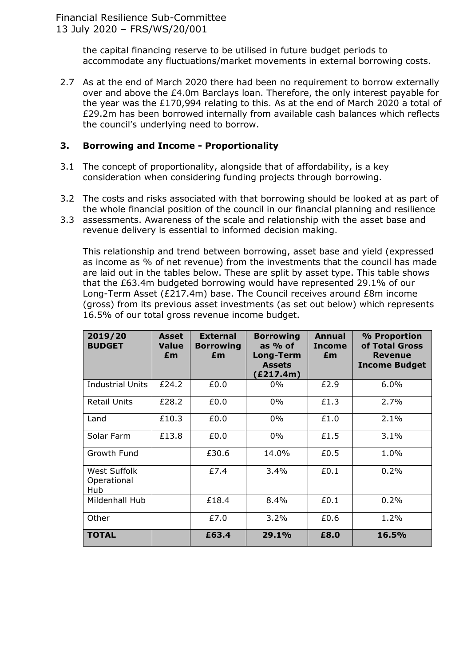the capital financing reserve to be utilised in future budget periods to accommodate any fluctuations/market movements in external borrowing costs.

2.7 As at the end of March 2020 there had been no requirement to borrow externally over and above the £4.0m Barclays loan. Therefore, the only interest payable for the year was the £170,994 relating to this. As at the end of March 2020 a total of £29.2m has been borrowed internally from available cash balances which reflects the council's underlying need to borrow.

#### **3. Borrowing and Income - Proportionality**

- 3.1 The concept of proportionality, alongside that of affordability, is a key consideration when considering funding projects through borrowing.
- 3.2 The costs and risks associated with that borrowing should be looked at as part of the whole financial position of the council in our financial planning and resilience
- 3.3 assessments. Awareness of the scale and relationship with the asset base and revenue delivery is essential to informed decision making.

This relationship and trend between borrowing, asset base and yield (expressed as income as % of net revenue) from the investments that the council has made are laid out in the tables below. These are split by asset type. This table shows that the £63.4m budgeted borrowing would have represented 29.1% of our Long-Term Asset (£217.4m) base. The Council receives around £8m income (gross) from its previous asset investments (as set out below) which represents 16.5% of our total gross revenue income budget.

| 2019/20<br><b>BUDGET</b>           | Asset<br><b>Value</b><br>£m | <b>External</b><br><b>Borrowing</b><br>£m | <b>Borrowing</b><br>as $%$ of<br>Long-Term<br><b>Assets</b><br>(£217.4m) | Annual<br><b>Income</b><br>£m | % Proportion<br>of Total Gross<br><b>Revenue</b><br><b>Income Budget</b> |
|------------------------------------|-----------------------------|-------------------------------------------|--------------------------------------------------------------------------|-------------------------------|--------------------------------------------------------------------------|
| <b>Industrial Units</b>            | £24.2                       | £0.0                                      | $0\%$                                                                    | £2.9                          | $6.0\%$                                                                  |
| <b>Retail Units</b>                | £28.2                       | £0.0                                      | $0\%$                                                                    | £1.3                          | 2.7%                                                                     |
| Land                               | £10.3                       | £0.0                                      | $0\%$                                                                    | £1.0                          | 2.1%                                                                     |
| Solar Farm                         | £13.8                       | £0.0                                      | $0\%$                                                                    | £1.5                          | 3.1%                                                                     |
| Growth Fund                        |                             | £30.6                                     | 14.0%                                                                    | £0.5                          | 1.0%                                                                     |
| West Suffolk<br>Operational<br>Hub |                             | £7.4                                      | 3.4%                                                                     | £0.1                          | 0.2%                                                                     |
| Mildenhall Hub                     |                             | £18.4                                     | 8.4%                                                                     | £0.1                          | 0.2%                                                                     |
| Other                              |                             | £7.0                                      | 3.2%                                                                     | £0.6                          | 1.2%                                                                     |
| <b>TOTAL</b>                       |                             | £63.4                                     | 29.1%                                                                    | £8.0                          | 16.5%                                                                    |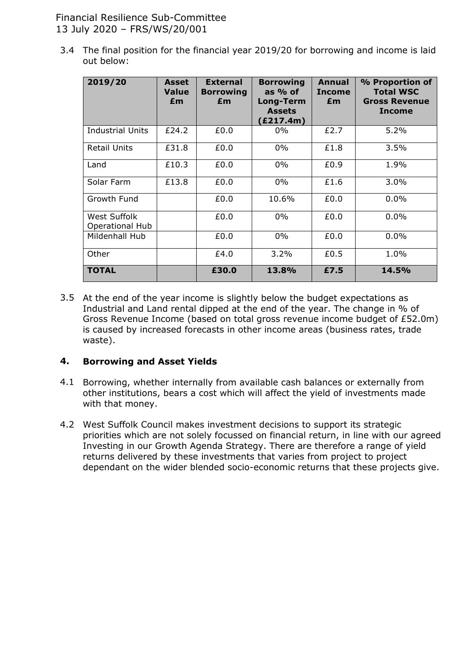Financial Resilience Sub-Committee 13 July 2020 – FRS/WS/20/001

3.4 The final position for the financial year 2019/20 for borrowing and income is laid out below:

| 2019/20                                | <b>Asset</b><br><b>Value</b><br>£m | <b>External</b><br><b>Borrowing</b><br>£m | <b>Borrowing</b><br>as $%$ of<br>Long-Term<br><b>Assets</b><br>(£217.4m) | Annual<br><b>Income</b><br>£m | % Proportion of<br><b>Total WSC</b><br><b>Gross Revenue</b><br><b>Income</b> |
|----------------------------------------|------------------------------------|-------------------------------------------|--------------------------------------------------------------------------|-------------------------------|------------------------------------------------------------------------------|
| Industrial Units                       | £24.2                              | £0.0                                      | $0\%$                                                                    | £2.7                          | $5.2\%$                                                                      |
| <b>Retail Units</b>                    | £31.8                              | £0.0                                      | $0\%$                                                                    | £1.8                          | 3.5%                                                                         |
| Land                                   | £10.3                              | £0.0                                      | $0\%$                                                                    | £0.9                          | 1.9%                                                                         |
| Solar Farm                             | £13.8                              | £0.0                                      | $0\%$                                                                    | £1.6                          | $3.0\%$                                                                      |
| Growth Fund                            |                                    | £0.0                                      | 10.6%                                                                    | £0.0                          | 0.0%                                                                         |
| West Suffolk<br><b>Operational Hub</b> |                                    | £0.0                                      | $0\%$                                                                    | £0.0                          | $0.0\%$                                                                      |
| Mildenhall Hub                         |                                    | £0.0                                      | $0\%$                                                                    | £0.0                          | 0.0%                                                                         |
| Other                                  |                                    | £4.0                                      | 3.2%                                                                     | £0.5                          | 1.0%                                                                         |
| <b>TOTAL</b>                           |                                    | £30.0                                     | 13.8%                                                                    | £7.5                          | 14.5%                                                                        |

3.5 At the end of the year income is slightly below the budget expectations as Industrial and Land rental dipped at the end of the year. The change in % of Gross Revenue Income (based on total gross revenue income budget of £52.0m) is caused by increased forecasts in other income areas (business rates, trade waste).

#### **4. Borrowing and Asset Yields**

- 4.1 Borrowing, whether internally from available cash balances or externally from other institutions, bears a cost which will affect the yield of investments made with that money.
- 4.2 West Suffolk Council makes investment decisions to support its strategic priorities which are not solely focussed on financial return, in line with our agreed Investing in our Growth Agenda Strategy. There are therefore a range of yield returns delivered by these investments that varies from project to project dependant on the wider blended socio-economic returns that these projects give.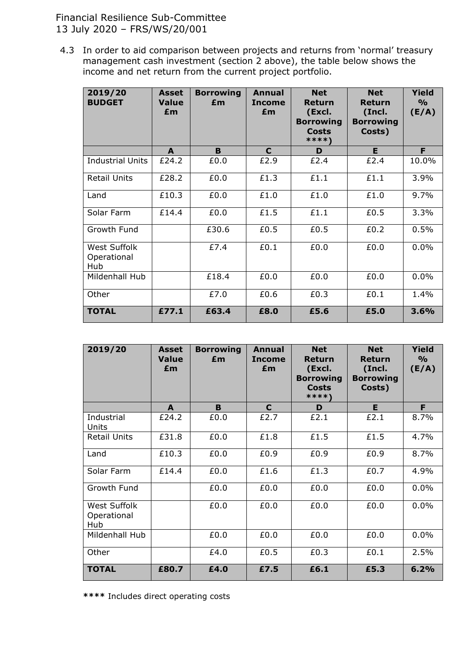Financial Resilience Sub-Committee 13 July 2020 – FRS/WS/20/001

4.3 In order to aid comparison between projects and returns from 'normal' treasury management cash investment (section 2 above), the table below shows the income and net return from the current project portfolio.

| 2019/20<br><b>BUDGET</b>           | <b>Asset</b><br><b>Value</b><br>£m | <b>Borrowing</b><br>£m | Annual<br><b>Income</b><br>£m | <b>Net</b><br><b>Return</b><br>(Excl.<br><b>Borrowing</b><br><b>Costs</b><br>****\ | <b>Net</b><br>Return<br>(Incl.<br><b>Borrowing</b><br>Costs) | Yield<br>$\frac{6}{9}$<br>(E/A) |
|------------------------------------|------------------------------------|------------------------|-------------------------------|------------------------------------------------------------------------------------|--------------------------------------------------------------|---------------------------------|
|                                    | A                                  | B                      | C                             | D                                                                                  | E                                                            | F                               |
| <b>Industrial Units</b>            | £24.2                              | £0.0                   | £2.9                          | £2.4                                                                               | £2.4                                                         | 10.0%                           |
| <b>Retail Units</b>                | £28.2                              | £0.0                   | £1.3                          | £1.1                                                                               | £1.1                                                         | 3.9%                            |
| Land                               | £10.3                              | £0.0                   | £1.0                          | £1.0                                                                               | £1.0                                                         | 9.7%                            |
| Solar Farm                         | £14.4                              | £0.0                   | £1.5                          | £1.1                                                                               | £0.5                                                         | 3.3%                            |
| Growth Fund                        |                                    | £30.6                  | £0.5                          | £0.5                                                                               | £0.2                                                         | 0.5%                            |
| West Suffolk<br>Operational<br>Hub |                                    | £7.4                   | £0.1                          | £0.0                                                                               | £0.0                                                         | 0.0%                            |
| Mildenhall Hub                     |                                    | £18.4                  | £0.0                          | £0.0                                                                               | £0.0                                                         | 0.0%                            |
| Other                              |                                    | £7.0                   | £0.6                          | £0.3                                                                               | £0.1                                                         | 1.4%                            |
| <b>TOTAL</b>                       | £77.1                              | £63.4                  | £8.0                          | £5.6                                                                               | £5.0                                                         | 3.6%                            |

| 2019/20                            | Asset<br><b>Value</b><br>£m | <b>Borrowing</b><br>£m | <b>Annual</b><br><b>Income</b><br>£m | <b>Net</b><br>Return<br>(Excl.<br><b>Borrowing</b><br><b>Costs</b><br>****\ | <b>Net</b><br>Return<br>(Incl.<br><b>Borrowing</b><br>Costs) | Yield<br>$\frac{6}{9}$<br>(E/A) |
|------------------------------------|-----------------------------|------------------------|--------------------------------------|-----------------------------------------------------------------------------|--------------------------------------------------------------|---------------------------------|
|                                    | A                           | B                      | C                                    | D                                                                           | E                                                            | F                               |
| Industrial<br>Units                | £24.2                       | £0.0                   | £2.7                                 | £2.1                                                                        | £2.1                                                         | 8.7%                            |
| <b>Retail Units</b>                | £31.8                       | £0.0                   | £1.8                                 | £1.5                                                                        | £1.5                                                         | 4.7%                            |
| Land                               | £10.3                       | £0.0                   | £0.9                                 | £0.9                                                                        | £0.9                                                         | 8.7%                            |
| Solar Farm                         | £14.4                       | £0.0                   | £1.6                                 | £1.3                                                                        | £0.7                                                         | 4.9%                            |
| Growth Fund                        |                             | £0.0                   | £0.0                                 | £0.0                                                                        | £0.0                                                         | 0.0%                            |
| West Suffolk<br>Operational<br>Hub |                             | £0.0                   | £0.0                                 | £0.0                                                                        | £0.0                                                         | 0.0%                            |
| Mildenhall Hub                     |                             | £0.0                   | £0.0                                 | £0.0                                                                        | £0.0                                                         | 0.0%                            |
| Other                              |                             | £4.0                   | £0.5                                 | £0.3                                                                        | £0.1                                                         | 2.5%                            |
| <b>TOTAL</b>                       | £80.7                       | £4.0                   | £7.5                                 | £6.1                                                                        | £5.3                                                         | 6.2%                            |

**\*\*\*\*** Includes direct operating costs